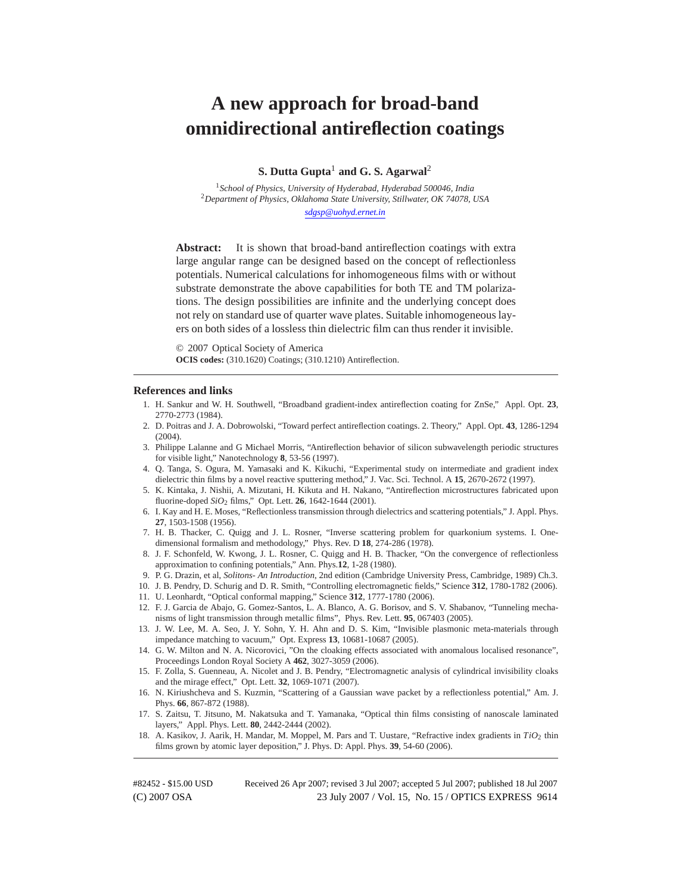# **A new approach for broad-band omnidirectional antireflection coatings**

**S. Dutta Gupta**<sup>1</sup> **and G. S. Agarwal**<sup>2</sup>

<sup>1</sup>*School of Physics, University of Hyderabad, Hyderabad 500046, India* <sup>2</sup>*Department of Physics, Oklahoma State University, Stillwater, OK 74078, USA sdgsp@uohyd.ernet.in*

Abstract: It is shown that broad-band antireflection coatings with extra large angular range can be designed based on the concept of reflectionless potentials. Numerical calculations for inhomogeneous films with or without substrate demonstrate the above capabilities for both TE and TM polarizations. The design possibilities are infinite and the underlying concept does not rely on standard use of quarter wave plates. Suitable inhomogeneous layers on both sides of a lossless thin dielectric film can thus render it invisible.

© 2007 Optical Society of America **OCIS codes:** (310.1620) Coatings; (310.1210) Antireflection.

#### **References and links**

- 1. H. Sankur and W. H. Southwell, "Broadband gradient-index antireflection coating for ZnSe," Appl. Opt. **23**, 2770-2773 (1984).
- 2. D. Poitras and J. A. Dobrowolski, "Toward perfect antireflection coatings. 2. Theory," Appl. Opt. **43**, 1286-1294 (2004).
- 3. Philippe Lalanne and G Michael Morris, "Antireflection behavior of silicon subwavelength periodic structures for visible light," Nanotechnology **8**, 53-56 (1997).
- 4. Q. Tanga, S. Ogura, M. Yamasaki and K. Kikuchi, "Experimental study on intermediate and gradient index dielectric thin films by a novel reactive sputtering method," J. Vac. Sci. Technol. A **15**, 2670-2672 (1997).
- 5. K. Kintaka, J. Nishii, A. Mizutani, H. Kikuta and H. Nakano, "Antireflection microstructures fabricated upon fluorine-doped *SiO*<sup>2</sup> films," Opt. Lett. **26**, 1642-1644 (2001).
- 6. I. Kay and H. E. Moses, "Reflectionless transmission through dielectrics and scattering potentials," J. Appl. Phys. **27**, 1503-1508 (1956).
- 7. H. B. Thacker, C. Quigg and J. L. Rosner, "Inverse scattering problem for quarkonium systems. I. Onedimensional formalism and methodology," Phys. Rev. D **18**, 274-286 (1978).
- 8. J. F. Schonfeld, W. Kwong, J. L. Rosner, C. Quigg and H. B. Thacker, "On the convergence of reflectionless approximation to confining potentials," Ann. Phys.**12**, 1-28 (1980).
- 9. P. G. Drazin, et al, *Solitons- An Introduction*, 2nd edition (Cambridge University Press, Cambridge, 1989) Ch.3.
- 10. J. B. Pendry, D. Schurig and D. R. Smith, "Controlling electromagnetic fields," Science **312**, 1780-1782 (2006).
- 11. U. Leonhardt, "Optical conformal mapping," Science **312**, 1777-1780 (2006).
- 12. F. J. Garcia de Abajo, G. Gomez-Santos, L. A. Blanco, A. G. Borisov, and S. V. Shabanov, "Tunneling mechanisms of light transmission through metallic films", Phys. Rev. Lett. **95**, 067403 (2005).
- 13. J. W. Lee, M. A. Seo, J. Y. Sohn, Y. H. Ahn and D. S. Kim, "Invisible plasmonic meta-materials through impedance matching to vacuum," Opt. Express **13**, 10681-10687 (2005).
- 14. G. W. Milton and N. A. Nicorovici, "On the cloaking effects associated with anomalous localised resonance", Proceedings London Royal Society A **462**, 3027-3059 (2006).
- 15. F. Zolla, S. Guenneau, A. Nicolet and J. B. Pendry, "Electromagnetic analysis of cylindrical invisibility cloaks and the mirage effect," Opt. Lett. **32**, 1069-1071 (2007).
- 16. N. Kiriushcheva and S. Kuzmin, "Scattering of a Gaussian wave packet by a reflectionless potential," Am. J. Phys. **66**, 867-872 (1988).
- 17. S. Zaitsu, T. Jitsuno, M. Nakatsuka and T. Yamanaka, "Optical thin films consisting of nanoscale laminated layers," Appl. Phys. Lett. **80**, 2442-2444 (2002).
- 18. A. Kasikov, J. Aarik, H. Mandar, M. Moppel, M. Pars and T. Uustare, "Refractive index gradients in  $TiO<sub>2</sub>$  thin films grown by atomic layer deposition," J. Phys. D: Appl. Phys. **39**, 54-60 (2006).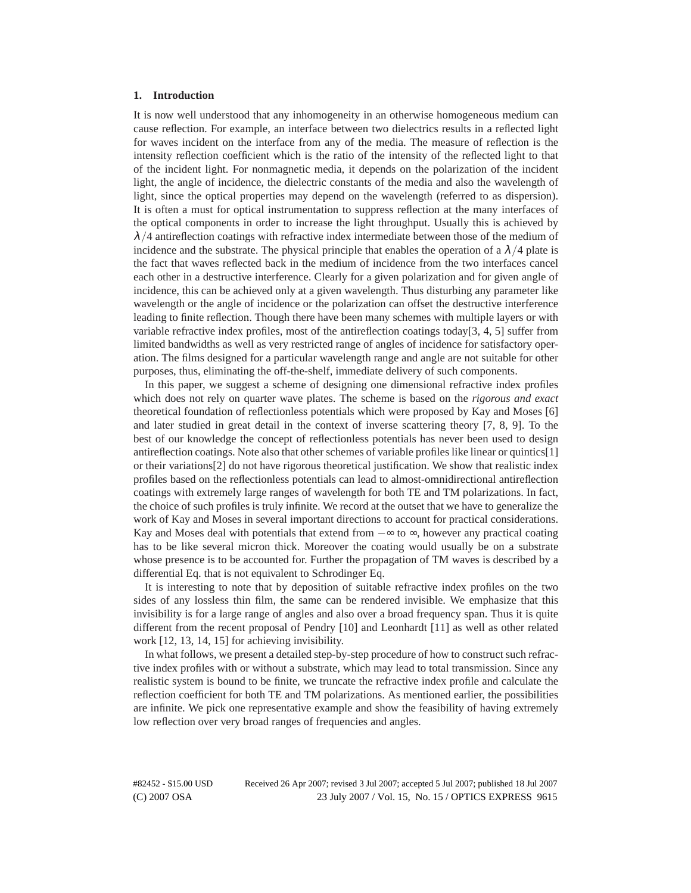#### **1. Introduction**

It is now well understood that any inhomogeneity in an otherwise homogeneous medium can cause reflection. For example, an interface between two dielectrics results in a reflected light for waves incident on the interface from any of the media. The measure of reflection is the intensity reflection coefficient which is the ratio of the intensity of the reflected light to that of the incident light. For nonmagnetic media, it depends on the polarization of the incident light, the angle of incidence, the dielectric constants of the media and also the wavelength of light, since the optical properties may depend on the wavelength (referred to as dispersion). It is often a must for optical instrumentation to suppress reflection at the many interfaces of the optical components in order to increase the light throughput. Usually this is achieved by  $\lambda/4$  antireflection coatings with refractive index intermediate between those of the medium of incidence and the substrate. The physical principle that enables the operation of a  $\lambda/4$  plate is the fact that waves reflected back in the medium of incidence from the two interfaces cancel each other in a destructive interference. Clearly for a given polarization and for given angle of incidence, this can be achieved only at a given wavelength. Thus disturbing any parameter like wavelength or the angle of incidence or the polarization can offset the destructive interference leading to finite reflection. Though there have been many schemes with multiple layers or with variable refractive index profiles, most of the antireflection coatings today[3, 4, 5] suffer from limited bandwidths as well as very restricted range of angles of incidence for satisfactory operation. The films designed for a particular wavelength range and angle are not suitable for other purposes, thus, eliminating the off-the-shelf, immediate delivery of such components.

In this paper, we suggest a scheme of designing one dimensional refractive index profiles which does not rely on quarter wave plates. The scheme is based on the *rigorous and exact* theoretical foundation of reflectionless potentials which were proposed by Kay and Moses [6] and later studied in great detail in the context of inverse scattering theory [7, 8, 9]. To the best of our knowledge the concept of reflectionless potentials has never been used to design antireflection coatings. Note also that other schemes of variable profiles like linear or quintics[1] or their variations[2] do not have rigorous theoretical justification. We show that realistic index profiles based on the reflectionless potentials can lead to almost-omnidirectional antireflection coatings with extremely large ranges of wavelength for both TE and TM polarizations. In fact, the choice of such profiles is truly infinite. We record at the outset that we have to generalize the work of Kay and Moses in several important directions to account for practical considerations. Kay and Moses deal with potentials that extend from  $-\infty$  to  $\infty$ , however any practical coating has to be like several micron thick. Moreover the coating would usually be on a substrate whose presence is to be accounted for. Further the propagation of TM waves is described by a differential Eq. that is not equivalent to Schrodinger Eq.

It is interesting to note that by deposition of suitable refractive index profiles on the two sides of any lossless thin film, the same can be rendered invisible. We emphasize that this invisibility is for a large range of angles and also over a broad frequency span. Thus it is quite different from the recent proposal of Pendry [10] and Leonhardt [11] as well as other related work [12, 13, 14, 15] for achieving invisibility.

In what follows, we present a detailed step-by-step procedure of how to construct such refractive index profiles with or without a substrate, which may lead to total transmission. Since any realistic system is bound to be finite, we truncate the refractive index profile and calculate the reflection coefficient for both TE and TM polarizations. As mentioned earlier, the possibilities are infinite. We pick one representative example and show the feasibility of having extremely low reflection over very broad ranges of frequencies and angles.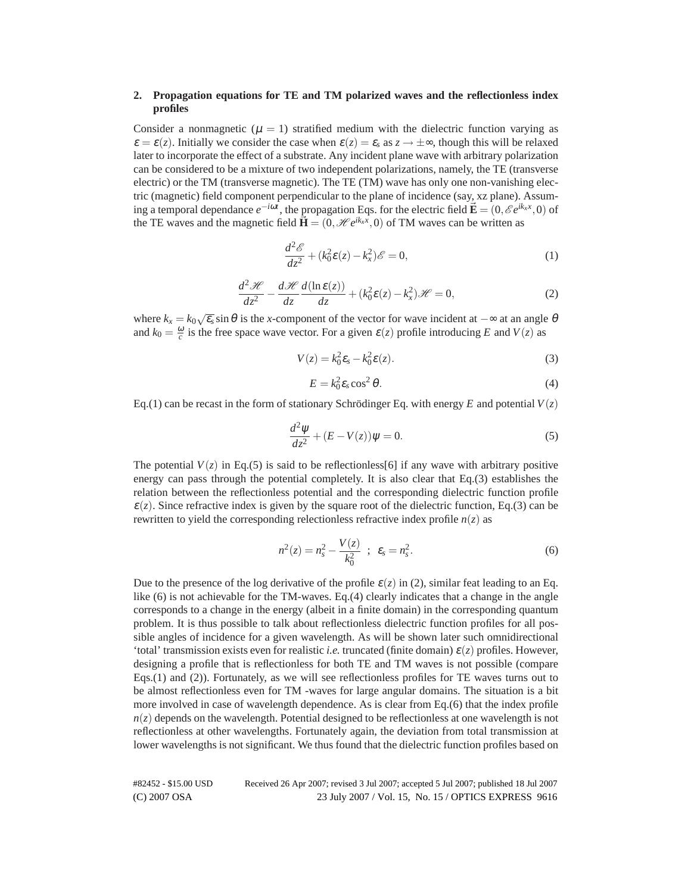# **2. Propagation equations for TE and TM polarized waves and the reflectionless index profiles**

Consider a nonmagnetic ( $\mu = 1$ ) stratified medium with the dielectric function varying as  $\varepsilon = \varepsilon(z)$ . Initially we consider the case when  $\varepsilon(z) = \varepsilon_s$  as  $z \to \pm \infty$ , though this will be relaxed later to incorporate the effect of a substrate. Any incident plane wave with arbitrary polarization can be considered to be a mixture of two independent polarizations, namely, the TE (transverse electric) or the TM (transverse magnetic). The TE (TM) wave has only one non-vanishing electric (magnetic) field component perpendicular to the plane of incidence (say, xz plane). Assuming a temporal dependance  $e^{-i\omega t}$ , the propagation Eqs. for the electric field  $\vec{\mathbf{E}} = (0, \mathscr{E}e^{ik_x x}, 0)$  of the TE waves and the magnetic field  $\vec{H} = (0, \mathcal{H}e^{ik_x x}, 0)$  of TM waves can be written as

$$
\frac{d^2\mathscr{E}}{dz^2} + (k_0^2 \varepsilon(z) - k_x^2)\mathscr{E} = 0,
$$
\n(1)

$$
\frac{d^2\mathscr{H}}{dz^2} - \frac{d\mathscr{H}}{dz}\frac{d(\ln \varepsilon(z))}{dz} + (k_0^2 \varepsilon(z) - k_x^2)\mathscr{H} = 0,
$$
\n(2)

where  $k_x = k_0 \sqrt{\epsilon_s} \sin \theta$  is the *x*-component of the vector for wave incident at  $-\infty$  at an angle  $\theta$ and  $k_0 = \frac{\omega}{c}$  is the free space wave vector. For a given  $\varepsilon(z)$  profile introducing *E* and *V*(*z*) as

$$
V(z) = k_0^2 \varepsilon_s - k_0^2 \varepsilon(z). \tag{3}
$$

$$
E = k_0^2 \varepsilon_s \cos^2 \theta. \tag{4}
$$

Eq.(1) can be recast in the form of stationary Schrödinger Eq. with energy E and potential  $V(z)$ 

$$
\frac{d^2\psi}{dz^2} + (E - V(z))\psi = 0.
$$
\n(5)

The potential  $V(z)$  in Eq.(5) is said to be reflectionless[6] if any wave with arbitrary positive energy can pass through the potential completely. It is also clear that Eq.(3) establishes the relation between the reflectionless potential and the corresponding dielectric function profile  $\varepsilon(z)$ . Since refractive index is given by the square root of the dielectric function, Eq.(3) can be rewritten to yield the corresponding relectionless refractive index profile  $n(z)$  as

$$
n^{2}(z) = n_{s}^{2} - \frac{V(z)}{k_{0}^{2}} \; ; \; \varepsilon_{s} = n_{s}^{2}.
$$
 (6)

Due to the presence of the log derivative of the profile  $\varepsilon(z)$  in (2), similar feat leading to an Eq. like (6) is not achievable for the TM-waves. Eq.(4) clearly indicates that a change in the angle corresponds to a change in the energy (albeit in a finite domain) in the corresponding quantum problem. It is thus possible to talk about reflectionless dielectric function profiles for all possible angles of incidence for a given wavelength. As will be shown later such omnidirectional 'total' transmission exists even for realistic *i.e.* truncated (finite domain) <sup>ε</sup>(*z*) profiles. However, designing a profile that is reflectionless for both TE and TM waves is not possible (compare Eqs.(1) and (2)). Fortunately, as we will see reflectionless profiles for TE waves turns out to be almost reflectionless even for TM -waves for large angular domains. The situation is a bit more involved in case of wavelength dependence. As is clear from Eq.(6) that the index profile  $n(z)$  depends on the wavelength. Potential designed to be reflectionless at one wavelength is not reflectionless at other wavelengths. Fortunately again, the deviation from total transmission at lower wavelengths is not significant. We thus found that the dielectric function profiles based on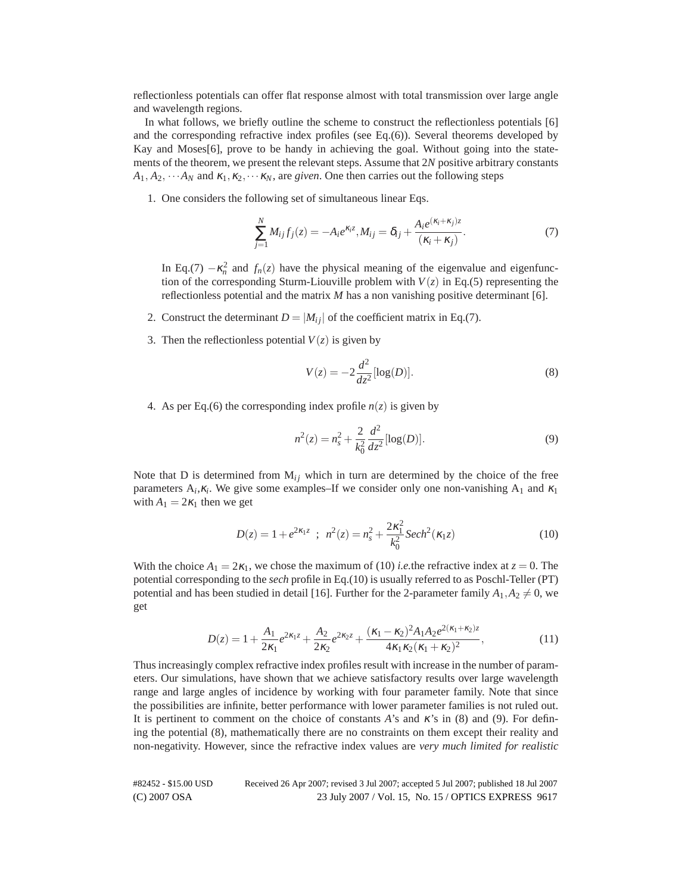reflectionless potentials can offer flat response almost with total transmission over large angle and wavelength regions.

In what follows, we briefly outline the scheme to construct the reflectionless potentials [6] and the corresponding refractive index profiles (see Eq.(6)). Several theorems developed by Kay and Moses[6], prove to be handy in achieving the goal. Without going into the statements of the theorem, we present the relevant steps. Assume that 2*N* positive arbitrary constants  $A_1, A_2, \cdots A_N$  and  $\kappa_1, \kappa_2, \cdots \kappa_N$ , are *given*. One then carries out the following steps

1. One considers the following set of simultaneous linear Eqs.

$$
\sum_{j=1}^{N} M_{ij} f_j(z) = -A_i e^{\kappa_i z}, M_{ij} = \delta_{ij} + \frac{A_i e^{(\kappa_i + \kappa_j)z}}{(\kappa_i + \kappa_j)}.
$$
\n(7)

In Eq.(7)  $-\kappa_n^2$  and  $f_n(z)$  have the physical meaning of the eigenvalue and eigenfunction of the corresponding Sturm-Liouville problem with  $V(z)$  in Eq.(5) representing the reflectionless potential and the matrix *M* has a non vanishing positive determinant [6].

- 2. Construct the determinant  $D = |M_{ij}|$  of the coefficient matrix in Eq.(7).
- 3. Then the reflectionless potential  $V(z)$  is given by

$$
V(z) = -2\frac{d^2}{dz^2} [\log(D)].
$$
 (8)

4. As per Eq.(6) the corresponding index profile  $n(z)$  is given by

$$
n^{2}(z) = n_{s}^{2} + \frac{2}{k_{0}^{2}} \frac{d^{2}}{dz^{2}} [\log(D)].
$$
\n(9)

Note that D is determined from  $M_{ij}$  which in turn are determined by the choice of the free parameters  $A_i, \kappa_i$ . We give some examples–If we consider only one non-vanishing  $A_1$  and  $\kappa_1$ with  $A_1 = 2\kappa_1$  then we get

$$
D(z) = 1 + e^{2\kappa_1 z} \, ; \, n^2(z) = n_s^2 + \frac{2\kappa_1^2}{k_0^2} \, \text{Sech}^2(\kappa_1 z) \tag{10}
$$

With the choice  $A_1 = 2\kappa_1$ , we chose the maximum of (10) *i.e.*the refractive index at  $z = 0$ . The potential corresponding to the *sech* profile in Eq.(10) is usually referred to as Poschl-Teller (PT) potential and has been studied in detail [16]. Further for the 2-parameter family  $A_1, A_2 \neq 0$ , we get

$$
D(z) = 1 + \frac{A_1}{2\kappa_1} e^{2\kappa_1 z} + \frac{A_2}{2\kappa_2} e^{2\kappa_2 z} + \frac{(\kappa_1 - \kappa_2)^2 A_1 A_2 e^{2(\kappa_1 + \kappa_2)z}}{4\kappa_1 \kappa_2 (\kappa_1 + \kappa_2)^2},
$$
\n(11)

Thus increasingly complex refractive index profiles result with increase in the number of parameters. Our simulations, have shown that we achieve satisfactory results over large wavelength range and large angles of incidence by working with four parameter family. Note that since the possibilities are infinite, better performance with lower parameter families is not ruled out. It is pertinent to comment on the choice of constants *A*'s and <sup>κ</sup>'s in (8) and (9). For defining the potential (8), mathematically there are no constraints on them except their reality and non-negativity. However, since the refractive index values are *very much limited for realistic*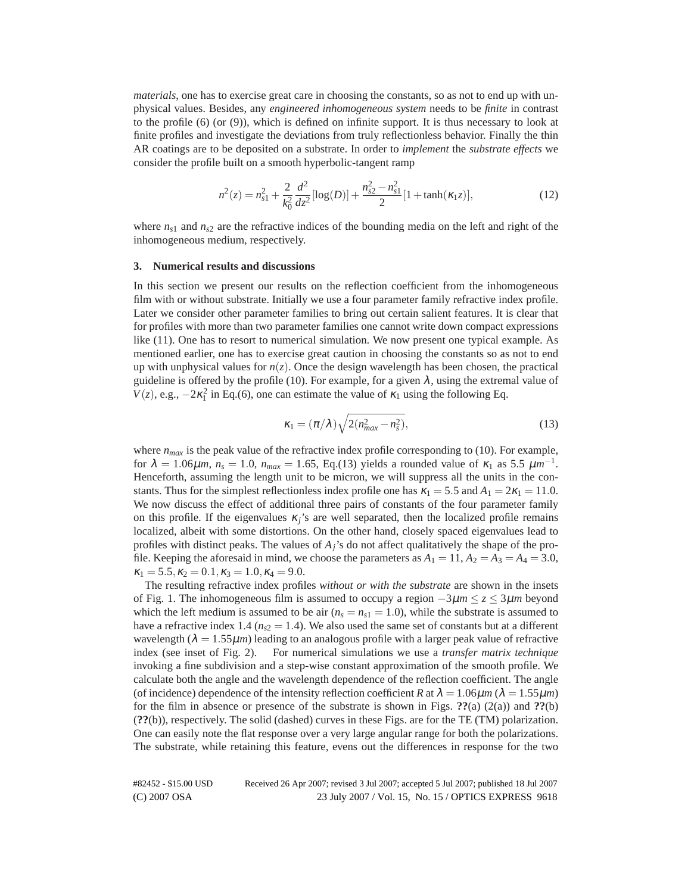*materials*, one has to exercise great care in choosing the constants, so as not to end up with unphysical values. Besides, any *engineered inhomogeneous system* needs to be *finite* in contrast to the profile  $(6)$  (or  $(9)$ ), which is defined on infinite support. It is thus necessary to look at finite profiles and investigate the deviations from truly reflectionless behavior. Finally the thin AR coatings are to be deposited on a substrate. In order to *implement* the *substrate effects* we consider the profile built on a smooth hyperbolic-tangent ramp

$$
n^{2}(z) = n_{s1}^{2} + \frac{2}{k_{0}^{2}} \frac{d^{2}}{dz^{2}} [\log(D)] + \frac{n_{s2}^{2} - n_{s1}^{2}}{2} [1 + \tanh(\kappa_{1}z)],
$$
\n(12)

where  $n_{s1}$  and  $n_{s2}$  are the refractive indices of the bounding media on the left and right of the inhomogeneous medium, respectively.

## **3. Numerical results and discussions**

In this section we present our results on the reflection coefficient from the inhomogeneous film with or without substrate. Initially we use a four parameter family refractive index profile. Later we consider other parameter families to bring out certain salient features. It is clear that for profiles with more than two parameter families one cannot write down compact expressions like (11). One has to resort to numerical simulation. We now present one typical example. As mentioned earlier, one has to exercise great caution in choosing the constants so as not to end up with unphysical values for  $n(z)$ . Once the design wavelength has been chosen, the practical guideline is offered by the profile (10). For example, for a given  $\lambda$ , using the extremal value of  $V(z)$ , e.g.,  $-2\kappa_1^2$  in Eq.(6), one can estimate the value of  $\kappa_1$  using the following Eq.

$$
\kappa_1 = (\pi/\lambda)\sqrt{2(n_{max}^2 - n_s^2)},\tag{13}
$$

where  $n_{max}$  is the peak value of the refractive index profile corresponding to (10). For example, for  $\lambda = 1.06 \mu m$ ,  $n_s = 1.0$ ,  $n_{max} = 1.65$ , Eq.(13) yields a rounded value of  $\kappa_1$  as 5.5  $\mu m^{-1}$ . Henceforth, assuming the length unit to be micron, we will suppress all the units in the constants. Thus for the simplest reflectionless index profile one has  $\kappa_1 = 5.5$  and  $A_1 = 2\kappa_1 = 11.0$ . We now discuss the effect of additional three pairs of constants of the four parameter family on this profile. If the eigenvalues  $\kappa_j$ 's are well separated, then the localized profile remains localized, albeit with some distortions. On the other hand, closely spaced eigenvalues lead to profiles with distinct peaks. The values of *Aj*'s do not affect qualitatively the shape of the profile. Keeping the aforesaid in mind, we choose the parameters as  $A_1 = 11$ ,  $A_2 = A_3 = A_4 = 3.0$ ,  $\kappa_1 = 5.5, \kappa_2 = 0.1, \kappa_3 = 1.0, \kappa_4 = 9.0.$ 

The resulting refractive index profiles *without or with the substrate* are shown in the insets of Fig. 1. The inhomogeneous film is assumed to occupy a region −3µ*m* ≤ *z* ≤ 3µ*m* beyond which the left medium is assumed to be air  $(n_s = n_{s1} = 1.0)$ , while the substrate is assumed to have a refractive index 1.4 ( $n_{s2} = 1.4$ ). We also used the same set of constants but at a different wavelength  $(\lambda = 1.55 \mu m)$  leading to an analogous profile with a larger peak value of refractive index (see inset of Fig. 2). For numerical simulations we use a *transfer matrix technique* invoking a fine subdivision and a step-wise constant approximation of the smooth profile. We calculate both the angle and the wavelength dependence of the reflection coefficient. The angle (of incidence) dependence of the intensity reflection coefficient *R* at  $\lambda = 1.06 \mu m$  ( $\lambda = 1.55 \mu m$ ) for the film in absence or presence of the substrate is shown in Figs. **??**(a) (2(a)) and **??**(b) (**??**(b)), respectively. The solid (dashed) curves in these Figs. are for the TE (TM) polarization. One can easily note the flat response over a very large angular range for both the polarizations. The substrate, while retaining this feature, evens out the differences in response for the two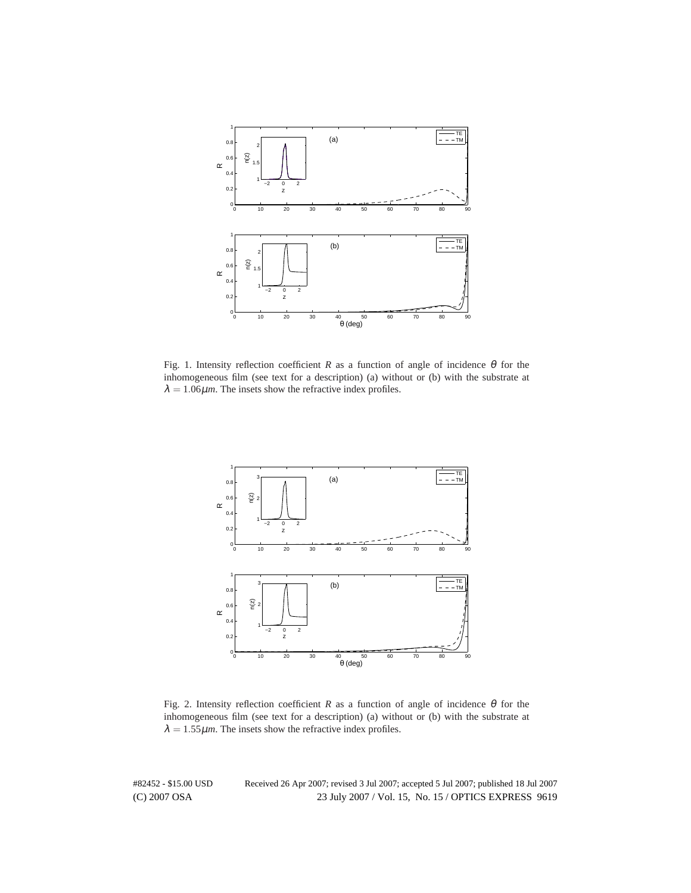

Fig. 1. Intensity reflection coefficient *R* as a function of angle of incidence  $\theta$  for the inhomogeneous film (see text for a description) (a) without or (b) with the substrate at  $\lambda = 1.06 \mu$ *m*. The insets show the refractive index profiles.



Fig. 2. Intensity reflection coefficient *R* as a function of angle of incidence  $\theta$  for the inhomogeneous film (see text for a description) (a) without or (b) with the substrate at  $\lambda = 1.55 \mu m$ . The insets show the refractive index profiles.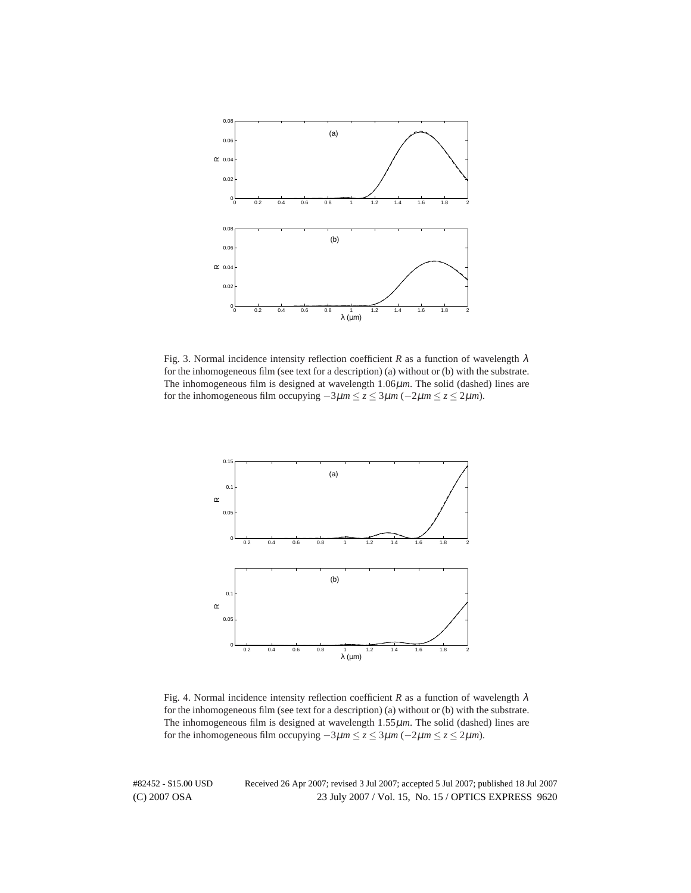

Fig. 3. Normal incidence intensity reflection coefficient *R* as a function of wavelength  $\lambda$ for the inhomogeneous film (see text for a description) (a) without or (b) with the substrate. The inhomogeneous film is designed at wavelength 1.06µ*m*. The solid (dashed) lines are for the inhomogeneous film occupying  $-3\mu m \le z \le 3\mu m$  ( $-2\mu m \le z \le 2\mu m$ ).



Fig. 4. Normal incidence intensity reflection coefficient *R* as a function of wavelength  $\lambda$ for the inhomogeneous film (see text for a description) (a) without or (b) with the substrate. The inhomogeneous film is designed at wavelength 1.55µ*m*. The solid (dashed) lines are for the inhomogeneous film occupying  $-3\mu m \le z \le 3\mu m$  ( $-2\mu m \le z \le 2\mu m$ ).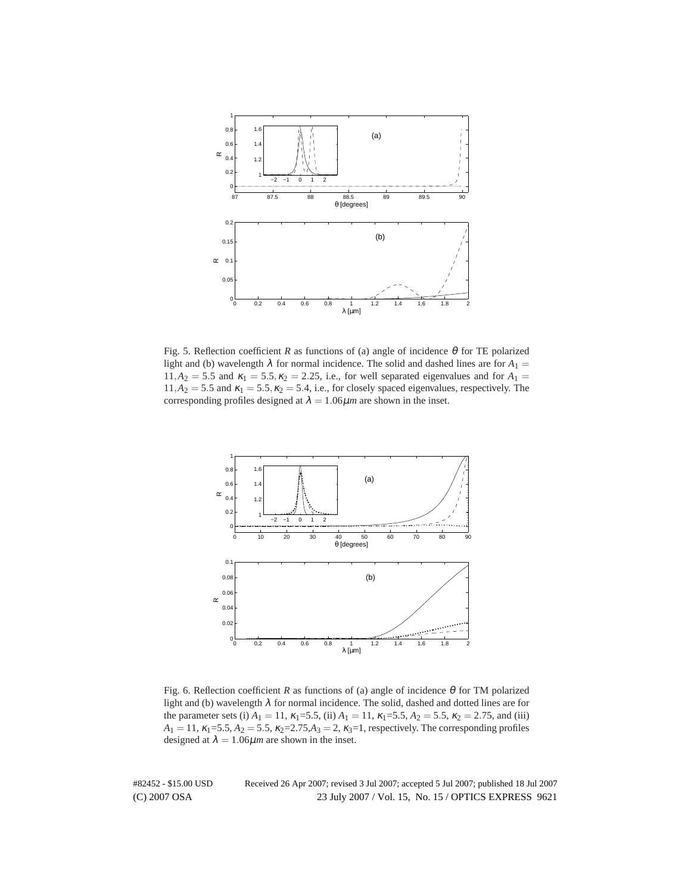

Fig. 5. Reflection coefficient *R* as functions of (a) angle of incidence  $\theta$  for TE polarized light and (b) wavelength  $\lambda$  for normal incidence. The solid and dashed lines are for  $A_1 =$  $11, A_2 = 5.5$  and  $\kappa_1 = 5.5, \kappa_2 = 2.25$ , i.e., for well separated eigenvalues and for  $A_1 =$  $11, A_2 = 5.5$  and  $\kappa_1 = 5.5, \kappa_2 = 5.4$ , i.e., for closely spaced eigenvalues, respectively. The corresponding profiles designed at  $\lambda = 1.06 \mu m$  are shown in the inset.



Fig. 6. Reflection coefficient *R* as functions of (a) angle of incidence  $\theta$  for TM polarized light and (b) wavelength  $\lambda$  for normal incidence. The solid, dashed and dotted lines are for the parameter sets (i)  $A_1 = 11$ ,  $\kappa_1 = 5.5$ , (ii)  $A_1 = 11$ ,  $\kappa_1 = 5.5$ ,  $A_2 = 5.5$ ,  $\kappa_2 = 2.75$ , and (iii)  $A_1 = 11$ ,  $\kappa_1 = 5.5$ ,  $A_2 = 5.5$ ,  $\kappa_2 = 2.75$ ,  $A_3 = 2$ ,  $\kappa_3 = 1$ , respectively. The corresponding profiles designed at  $\lambda = 1.06 \mu m$  are shown in the inset.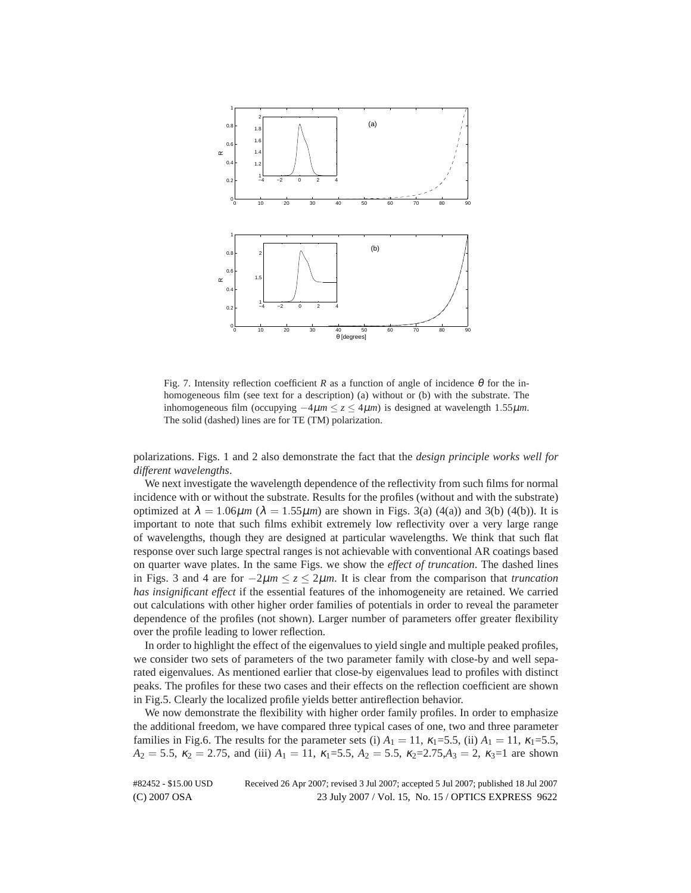

Fig. 7. Intensity reflection coefficient *R* as a function of angle of incidence  $\theta$  for the inhomogeneous film (see text for a description) (a) without or (b) with the substrate. The inhomogeneous film (occupying  $-4\mu m \le z \le 4\mu m$ ) is designed at wavelength 1.55 $\mu$ m. The solid (dashed) lines are for TE (TM) polarization.

polarizations. Figs. 1 and 2 also demonstrate the fact that the *design principle works well for different wavelengths*.

We next investigate the wavelength dependence of the reflectivity from such films for normal incidence with or without the substrate. Results for the profiles (without and with the substrate) optimized at  $\lambda = 1.06 \mu m$  ( $\lambda = 1.55 \mu m$ ) are shown in Figs. 3(a) (4(a)) and 3(b) (4(b)). It is important to note that such films exhibit extremely low reflectivity over a very large range of wavelengths, though they are designed at particular wavelengths. We think that such flat response over such large spectral ranges is not achievable with conventional AR coatings based on quarter wave plates. In the same Figs. we show the *effect of truncation*. The dashed lines in Figs. 3 and 4 are for −2µ*m* ≤ *z* ≤ 2µ*m*. It is clear from the comparison that *truncation has insignificant effect* if the essential features of the inhomogeneity are retained. We carried out calculations with other higher order families of potentials in order to reveal the parameter dependence of the profiles (not shown). Larger number of parameters offer greater flexibility over the profile leading to lower reflection.

In order to highlight the effect of the eigenvalues to yield single and multiple peaked profiles, we consider two sets of parameters of the two parameter family with close-by and well separated eigenvalues. As mentioned earlier that close-by eigenvalues lead to profiles with distinct peaks. The profiles for these two cases and their effects on the reflection coefficient are shown in Fig.5. Clearly the localized profile yields better antireflection behavior.

We now demonstrate the flexibility with higher order family profiles. In order to emphasize the additional freedom, we have compared three typical cases of one, two and three parameter families in Fig.6. The results for the parameter sets (i)  $A_1 = 11$ ,  $\kappa_1 = 5.5$ , (ii)  $A_1 = 11$ ,  $\kappa_1 = 5.5$ ,  $A_2 = 5.5$ ,  $\kappa_2 = 2.75$ , and (iii)  $A_1 = 11$ ,  $\kappa_1 = 5.5$ ,  $A_2 = 5.5$ ,  $\kappa_2 = 2.75$ ,  $A_3 = 2$ ,  $\kappa_3 = 1$  are shown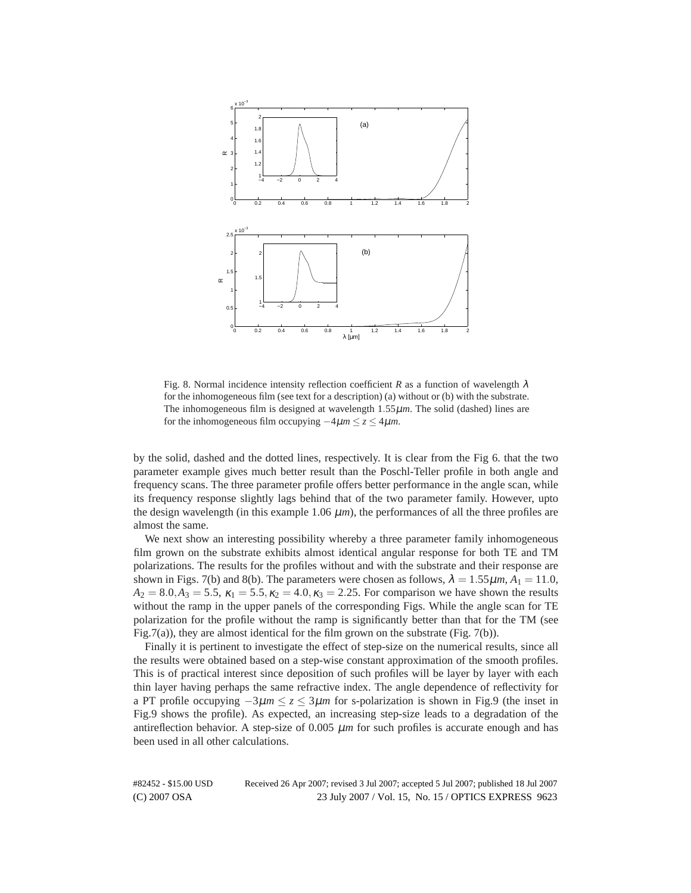

Fig. 8. Normal incidence intensity reflection coefficient *R* as a function of wavelength  $\lambda$ for the inhomogeneous film (see text for a description) (a) without or (b) with the substrate. The inhomogeneous film is designed at wavelength 1.55µ*m*. The solid (dashed) lines are for the inhomogeneous film occupying  $-4\mu m \le z \le 4\mu m$ .

by the solid, dashed and the dotted lines, respectively. It is clear from the Fig 6. that the two parameter example gives much better result than the Poschl-Teller profile in both angle and frequency scans. The three parameter profile offers better performance in the angle scan, while its frequency response slightly lags behind that of the two parameter family. However, upto the design wavelength (in this example  $1.06 \mu m$ ), the performances of all the three profiles are almost the same.

We next show an interesting possibility whereby a three parameter family inhomogeneous film grown on the substrate exhibits almost identical angular response for both TE and TM polarizations. The results for the profiles without and with the substrate and their response are shown in Figs. 7(b) and 8(b). The parameters were chosen as follows,  $\lambda = 1.55 \mu m$ ,  $A_1 = 11.0$ ,  $A_2 = 8.0, A_3 = 5.5, \kappa_1 = 5.5, \kappa_2 = 4.0, \kappa_3 = 2.25$ . For comparison we have shown the results without the ramp in the upper panels of the corresponding Figs. While the angle scan for TE polarization for the profile without the ramp is significantly better than that for the TM (see Fig.7(a)), they are almost identical for the film grown on the substrate (Fig. 7(b)).

Finally it is pertinent to investigate the effect of step-size on the numerical results, since all the results were obtained based on a step-wise constant approximation of the smooth profiles. This is of practical interest since deposition of such profiles will be layer by layer with each thin layer having perhaps the same refractive index. The angle dependence of reflectivity for a PT profile occupying  $-3\mu m \le z \le 3\mu m$  for s-polarization is shown in Fig.9 (the inset in Fig.9 shows the profile). As expected, an increasing step-size leads to a degradation of the antireflection behavior. A step-size of  $0.005 \mu m$  for such profiles is accurate enough and has been used in all other calculations.